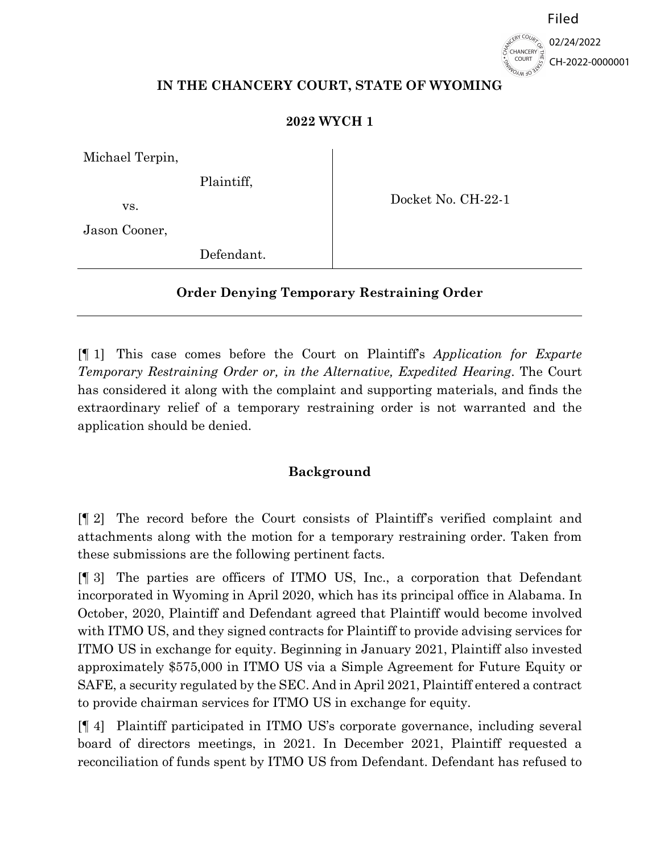#### Filed



## **IN THE CHANCERY COURT, STATE OF WYOMING**

## **2022 WYCH 1**

Docket No. CH-22-1

Michael Terpin,

Plaintiff,

vs.

Jason Cooner,

Defendant.

## **Order Denying Temporary Restraining Order**

[¶ 1] This case comes before the Court on Plaintiff's *Application for Exparte Temporary Restraining Order or, in the Alternative, Expedited Hearing*. The Court has considered it along with the complaint and supporting materials, and finds the extraordinary relief of a temporary restraining order is not warranted and the application should be denied.

# **Background**

[¶ 2] The record before the Court consists of Plaintiff's verified complaint and attachments along with the motion for a temporary restraining order. Taken from these submissions are the following pertinent facts.

[¶ 3] The parties are officers of ITMO US, Inc., a corporation that Defendant incorporated in Wyoming in April 2020, which has its principal office in Alabama. In October, 2020, Plaintiff and Defendant agreed that Plaintiff would become involved with ITMO US, and they signed contracts for Plaintiff to provide advising services for ITMO US in exchange for equity. Beginning in January 2021, Plaintiff also invested approximately \$575,000 in ITMO US via a Simple Agreement for Future Equity or SAFE, a security regulated by the SEC. And in April 2021, Plaintiff entered a contract to provide chairman services for ITMO US in exchange for equity.

[¶ 4] Plaintiff participated in ITMO US's corporate governance, including several board of directors meetings, in 2021. In December 2021, Plaintiff requested a reconciliation of funds spent by ITMO US from Defendant. Defendant has refused to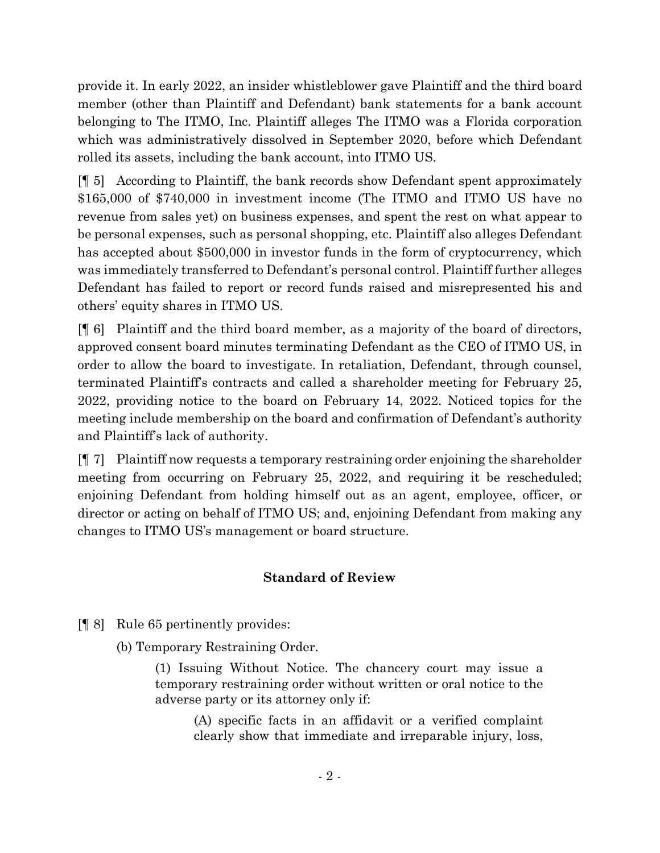provide it. In early 2022, an insider whistleblower gave Plaintiff and the third board member (other than Plaintiff and Defendant) bank statements for a bank account belonging to The ITMO, Inc. Plaintiff alleges The ITMO was a Florida corporation which was administratively dissolved in September 2020, before which Defendant rolled its assets, including the bank account, into ITMO US.

[¶ 5] According to Plaintiff, the bank records show Defendant spent approximately \$165,000 of \$740,000 in investment income (The ITMO and ITMO US have no revenue from sales yet) on business expenses, and spent the rest on what appear to be personal expenses, such as personal shopping, etc. Plaintiff also alleges Defendant has accepted about \$500,000 in investor funds in the form of cryptocurrency, which was immediately transferred to Defendant's personal control. Plaintiff further alleges Defendant has failed to report or record funds raised and misrepresented his and others' equity shares in ITMO US.

[¶ 6] Plaintiff and the third board member, as a majority of the board of directors, approved consent board minutes terminating Defendant as the CEO of ITMO US, in order to allow the board to investigate. In retaliation, Defendant, through counsel, terminated Plaintiff's contracts and called a shareholder meeting for February 25, 2022, providing notice to the board on February 14, 2022. Noticed topics for the meeting include membership on the board and confirmation of Defendant's authority and Plaintiff's lack of authority.

[¶ 7] Plaintiff now requests a temporary restraining order enjoining the shareholder meeting from occurring on February 25, 2022, and requiring it be rescheduled; enjoining Defendant from holding himself out as an agent, employee, officer, or director or acting on behalf of ITMO US; and, enjoining Defendant from making any changes to ITMO US's management or board structure.

#### **Standard of Review**

[¶ 8] Rule 65 pertinently provides:

(b) Temporary Restraining Order.

(1) Issuing Without Notice. The chancery court may issue a temporary restraining order without written or oral notice to the adverse party or its attorney only if:

(A) specific facts in an affidavit or a verified complaint clearly show that immediate and irreparable injury, loss,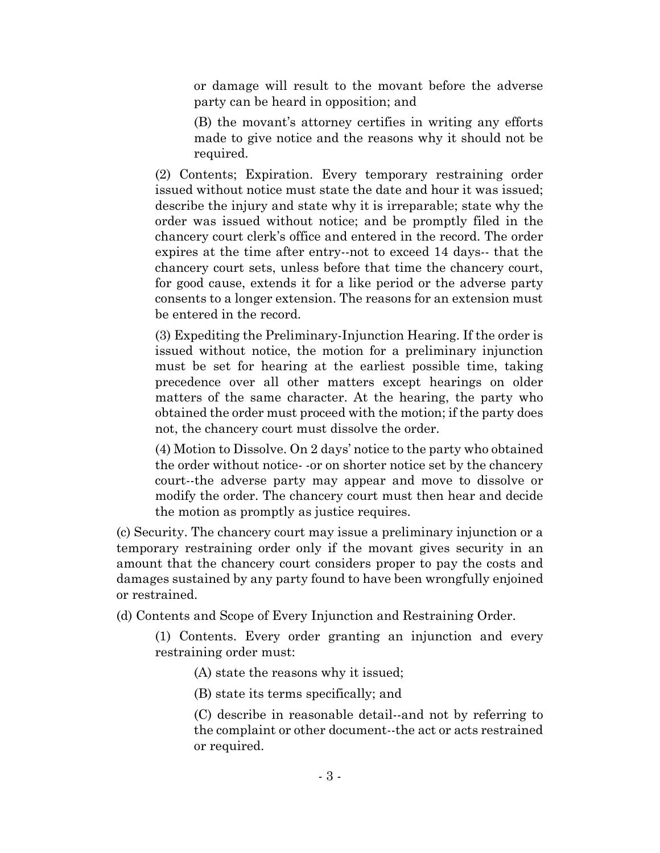or damage will result to the movant before the adverse party can be heard in opposition; and

(B) the movant's attorney certifies in writing any efforts made to give notice and the reasons why it should not be required.

(2) Contents; Expiration. Every temporary restraining order issued without notice must state the date and hour it was issued; describe the injury and state why it is irreparable; state why the order was issued without notice; and be promptly filed in the chancery court clerk's office and entered in the record. The order expires at the time after entry--not to exceed 14 days-- that the chancery court sets, unless before that time the chancery court, for good cause, extends it for a like period or the adverse party consents to a longer extension. The reasons for an extension must be entered in the record.

(3) Expediting the Preliminary-Injunction Hearing. If the order is issued without notice, the motion for a preliminary injunction must be set for hearing at the earliest possible time, taking precedence over all other matters except hearings on older matters of the same character. At the hearing, the party who obtained the order must proceed with the motion; if the party does not, the chancery court must dissolve the order.

(4) Motion to Dissolve. On 2 days' notice to the party who obtained the order without notice- -or on shorter notice set by the chancery court--the adverse party may appear and move to dissolve or modify the order. The chancery court must then hear and decide the motion as promptly as justice requires.

(c) Security. The chancery court may issue a preliminary injunction or a temporary restraining order only if the movant gives security in an amount that the chancery court considers proper to pay the costs and damages sustained by any party found to have been wrongfully enjoined or restrained.

(d) Contents and Scope of Every Injunction and Restraining Order.

(1) Contents. Every order granting an injunction and every restraining order must:

(A) state the reasons why it issued;

(B) state its terms specifically; and

(C) describe in reasonable detail--and not by referring to the complaint or other document--the act or acts restrained or required.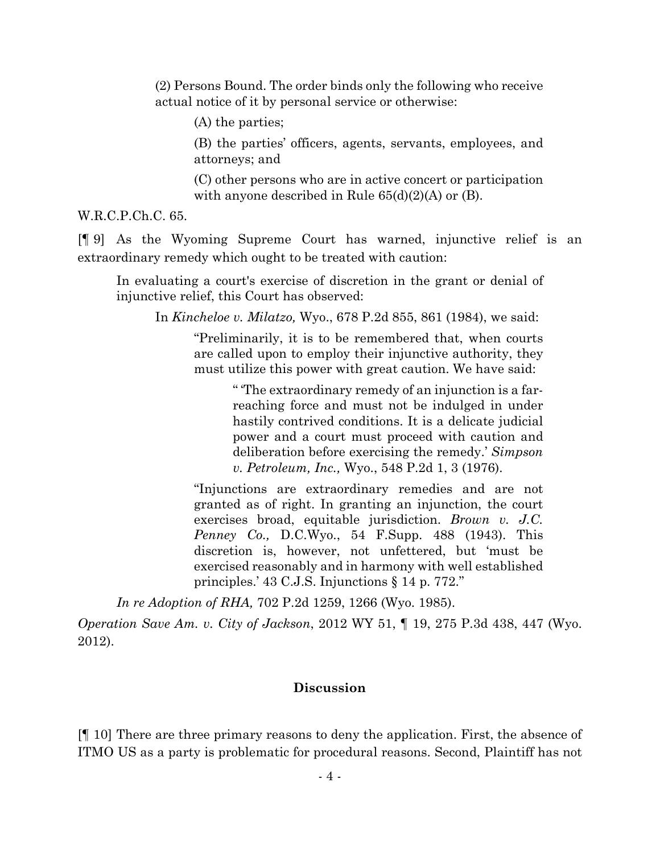(2) Persons Bound. The order binds only the following who receive actual notice of it by personal service or otherwise:

(A) the parties;

(B) the parties' officers, agents, servants, employees, and attorneys; and

(C) other persons who are in active concert or participation with anyone described in Rule  $65(d)(2)(A)$  or  $(B)$ .

W.R.C.P.Ch.C. 65.

[¶ 9] As the Wyoming Supreme Court has warned, injunctive relief is an extraordinary remedy which ought to be treated with caution:

In evaluating a court's exercise of discretion in the grant or denial of injunctive relief, this Court has observed:

In *Kincheloe v. Milatzo,* Wyo., 678 P.2d 855, 861 (1984), we said:

"Preliminarily, it is to be remembered that, when courts are called upon to employ their injunctive authority, they must utilize this power with great caution. We have said:

> " 'The extraordinary remedy of an injunction is a farreaching force and must not be indulged in under hastily contrived conditions. It is a delicate judicial power and a court must proceed with caution and deliberation before exercising the remedy.' *Simpson v. Petroleum, Inc.,* Wyo., 548 P.2d 1, 3 (1976).

"Injunctions are extraordinary remedies and are not granted as of right. In granting an injunction, the court exercises broad, equitable jurisdiction. *Brown v. J.C. Penney Co.,* D.C.Wyo., 54 F.Supp. 488 (1943). This discretion is, however, not unfettered, but 'must be exercised reasonably and in harmony with well established principles.' 43 C.J.S. Injunctions § 14 p. 772."

*In re Adoption of RHA,* 702 P.2d 1259, 1266 (Wyo. 1985).

*Operation Save Am. v. City of Jackson*, 2012 WY 51, ¶ 19, 275 P.3d 438, 447 (Wyo. 2012).

#### **Discussion**

[¶ 10] There are three primary reasons to deny the application. First, the absence of ITMO US as a party is problematic for procedural reasons. Second, Plaintiff has not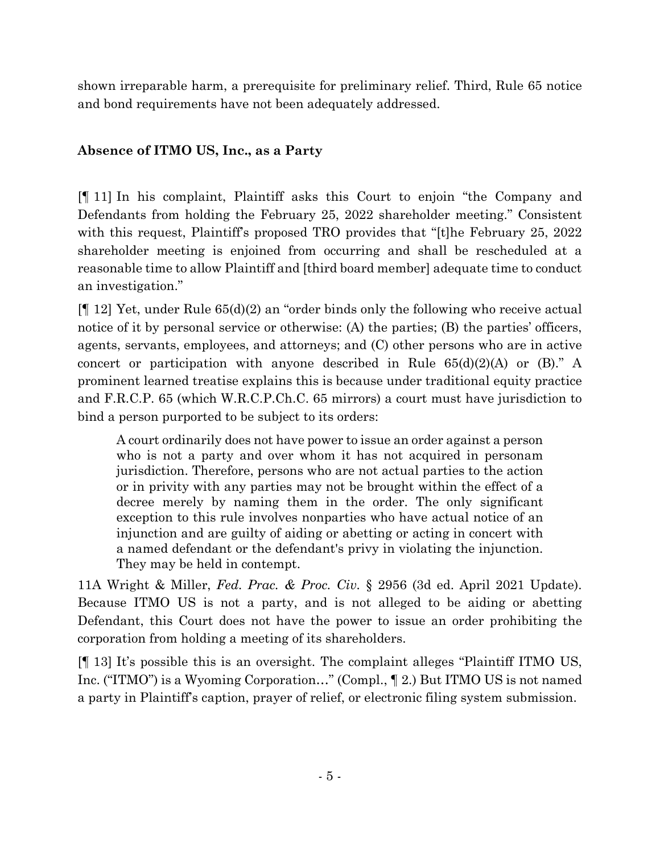shown irreparable harm, a prerequisite for preliminary relief. Third, Rule 65 notice and bond requirements have not been adequately addressed.

## **Absence of ITMO US, Inc., as a Party**

[¶ 11] In his complaint, Plaintiff asks this Court to enjoin "the Company and Defendants from holding the February 25, 2022 shareholder meeting." Consistent with this request, Plaintiff's proposed TRO provides that "[t]he February 25, 2022 shareholder meeting is enjoined from occurring and shall be rescheduled at a reasonable time to allow Plaintiff and [third board member] adequate time to conduct an investigation."

[¶ 12] Yet, under Rule 65(d)(2) an "order binds only the following who receive actual notice of it by personal service or otherwise: (A) the parties; (B) the parties' officers, agents, servants, employees, and attorneys; and (C) other persons who are in active concert or participation with anyone described in Rule  $65(d)(2)(A)$  or  $(B)$ ." A prominent learned treatise explains this is because under traditional equity practice and F.R.C.P. 65 (which W.R.C.P.Ch.C. 65 mirrors) a court must have jurisdiction to bind a person purported to be subject to its orders:

A court ordinarily does not have power to issue an order against a person who is not a party and over whom it has not acquired in personam jurisdiction. Therefore, persons who are not actual parties to the action or in privity with any parties may not be brought within the effect of a decree merely by naming them in the order. The only significant exception to this rule involves nonparties who have actual notice of an injunction and are guilty of aiding or abetting or acting in concert with a named defendant or the defendant's privy in violating the injunction. They may be held in contempt.

11A Wright & Miller, *Fed. Prac. & Proc. Civ.* § 2956 (3d ed. April 2021 Update). Because ITMO US is not a party, and is not alleged to be aiding or abetting Defendant, this Court does not have the power to issue an order prohibiting the corporation from holding a meeting of its shareholders.

[¶ 13] It's possible this is an oversight. The complaint alleges "Plaintiff ITMO US, Inc. ("ITMO") is a Wyoming Corporation…" (Compl., ¶ 2.) But ITMO US is not named a party in Plaintiff's caption, prayer of relief, or electronic filing system submission.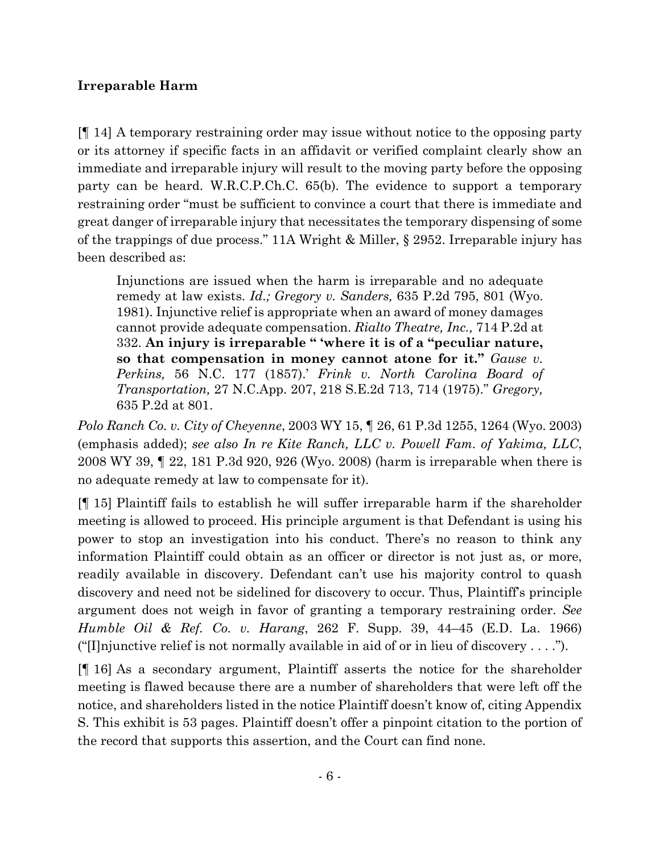## **Irreparable Harm**

[¶ 14] A temporary restraining order may issue without notice to the opposing party or its attorney if specific facts in an affidavit or verified complaint clearly show an immediate and irreparable injury will result to the moving party before the opposing party can be heard. W.R.C.P.Ch.C. 65(b). The evidence to support a temporary restraining order "must be sufficient to convince a court that there is immediate and great danger of irreparable injury that necessitates the temporary dispensing of some of the trappings of due process." 11A Wright & Miller, § 2952. Irreparable injury has been described as:

Injunctions are issued when the harm is irreparable and no adequate remedy at law exists. *Id.; Gregory v. Sanders,* 635 P.2d 795, 801 (Wyo. 1981). Injunctive relief is appropriate when an award of money damages cannot provide adequate compensation. *Rialto Theatre, Inc.,* 714 P.2d at 332. **An injury is irreparable " 'where it is of a "peculiar nature, so that compensation in money cannot atone for it."** *Gause v. Perkins,* 56 N.C. 177 (1857).' *Frink v. North Carolina Board of Transportation,* 27 N.C.App. 207, 218 S.E.2d 713, 714 (1975)." *Gregory,* 635 P.2d at 801.

*Polo Ranch Co. v. City of Cheyenne*, 2003 WY 15, ¶ 26, 61 P.3d 1255, 1264 (Wyo. 2003) (emphasis added); *see also In re Kite Ranch, LLC v. Powell Fam. of Yakima, LLC*, 2008 WY 39, ¶ 22, 181 P.3d 920, 926 (Wyo. 2008) (harm is irreparable when there is no adequate remedy at law to compensate for it).

[¶ 15] Plaintiff fails to establish he will suffer irreparable harm if the shareholder meeting is allowed to proceed. His principle argument is that Defendant is using his power to stop an investigation into his conduct. There's no reason to think any information Plaintiff could obtain as an officer or director is not just as, or more, readily available in discovery. Defendant can't use his majority control to quash discovery and need not be sidelined for discovery to occur. Thus, Plaintiff's principle argument does not weigh in favor of granting a temporary restraining order. *See Humble Oil & Ref. Co. v. Harang*, 262 F. Supp. 39, 44–45 (E.D. La. 1966) ("[I]njunctive relief is not normally available in aid of or in lieu of discovery . . . .").

[¶ 16] As a secondary argument, Plaintiff asserts the notice for the shareholder meeting is flawed because there are a number of shareholders that were left off the notice, and shareholders listed in the notice Plaintiff doesn't know of, citing Appendix S. This exhibit is 53 pages. Plaintiff doesn't offer a pinpoint citation to the portion of the record that supports this assertion, and the Court can find none.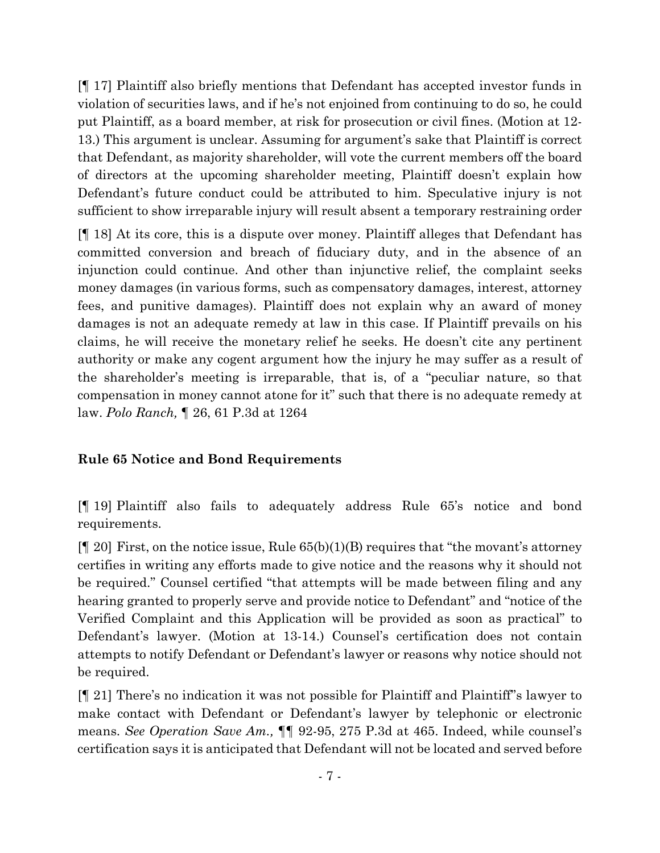[¶ 17] Plaintiff also briefly mentions that Defendant has accepted investor funds in violation of securities laws, and if he's not enjoined from continuing to do so, he could put Plaintiff, as a board member, at risk for prosecution or civil fines. (Motion at 12- 13.) This argument is unclear. Assuming for argument's sake that Plaintiff is correct that Defendant, as majority shareholder, will vote the current members off the board of directors at the upcoming shareholder meeting, Plaintiff doesn't explain how Defendant's future conduct could be attributed to him. Speculative injury is not sufficient to show irreparable injury will result absent a temporary restraining order

[¶ 18] At its core, this is a dispute over money. Plaintiff alleges that Defendant has committed conversion and breach of fiduciary duty, and in the absence of an injunction could continue. And other than injunctive relief, the complaint seeks money damages (in various forms, such as compensatory damages, interest, attorney fees, and punitive damages). Plaintiff does not explain why an award of money damages is not an adequate remedy at law in this case. If Plaintiff prevails on his claims, he will receive the monetary relief he seeks. He doesn't cite any pertinent authority or make any cogent argument how the injury he may suffer as a result of the shareholder's meeting is irreparable, that is, of a "peculiar nature, so that compensation in money cannot atone for it" such that there is no adequate remedy at law. *Polo Ranch,* ¶ 26, 61 P.3d at 1264

#### **Rule 65 Notice and Bond Requirements**

[¶ 19] Plaintiff also fails to adequately address Rule 65's notice and bond requirements.

 $[$ [[[[[[[20] First, on the notice issue, Rule 65(b)(1)(B) requires that "the movant's attorney certifies in writing any efforts made to give notice and the reasons why it should not be required." Counsel certified "that attempts will be made between filing and any hearing granted to properly serve and provide notice to Defendant" and "notice of the Verified Complaint and this Application will be provided as soon as practical" to Defendant's lawyer. (Motion at 13-14.) Counsel's certification does not contain attempts to notify Defendant or Defendant's lawyer or reasons why notice should not be required.

[¶ 21] There's no indication it was not possible for Plaintiff and Plaintiff''s lawyer to make contact with Defendant or Defendant's lawyer by telephonic or electronic means. *See Operation Save Am.,* ¶¶ 92-95, 275 P.3d at 465. Indeed, while counsel's certification says it is anticipated that Defendant will not be located and served before